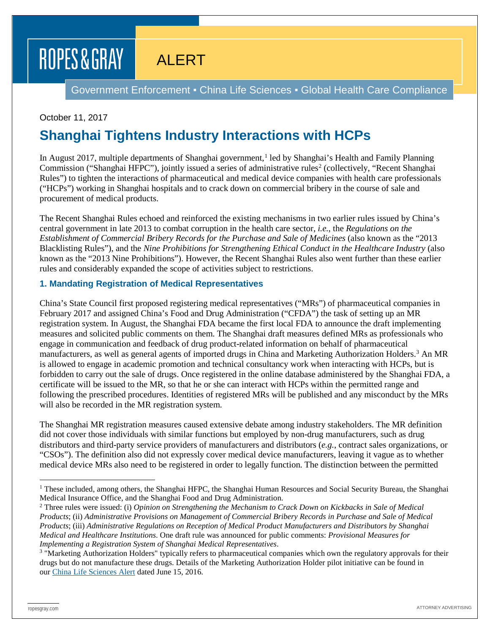# ROPES & GRAY

## ALERT

Government Enforcement ▪ China Life Sciences ▪ Global Health Care Compliance

#### October 11, 2017

## **Shanghai Tightens Industry Interactions with HCPs**

In August 20[1](#page-0-0)7, multiple departments of Shanghai government,<sup>1</sup> led by Shanghai's Health and Family Planning Commission ("Shanghai HFPC"), jointly issued a series of administrative rules<sup>2</sup> (collectively, "Recent Shanghai Rules") to tighten the interactions of pharmaceutical and medical device companies with health care professionals ("HCPs") working in Shanghai hospitals and to crack down on commercial bribery in the course of sale and procurement of medical products.

The Recent Shanghai Rules echoed and reinforced the existing mechanisms in two earlier rules issued by China's central government in late 2013 to combat corruption in the health care sector, *i.e.*, the *Regulations on the Establishment of Commercial Bribery Records for the Purchase and Sale of Medicines* (also known as the "2013 Blacklisting Rules"), and the *Nine Prohibitions for Strengthening Ethical Conduct in the Healthcare Industry* (also known as the "2013 Nine Prohibitions"). However, the Recent Shanghai Rules also went further than these earlier rules and considerably expanded the scope of activities subject to restrictions.

#### **1. Mandating Registration of Medical Representatives**

China's State Council first proposed registering medical representatives ("MRs") of pharmaceutical companies in February 2017 and assigned China's Food and Drug Administration ("CFDA") the task of setting up an MR registration system. In August, the Shanghai FDA became the first local FDA to announce the draft implementing measures and solicited public comments on them. The Shanghai draft measures defined MRs as professionals who engage in communication and feedback of drug product-related information on behalf of pharmaceutical manufacturers, as well as general agents of imported drugs in China and Marketing Authorization Holders[.3](#page-0-2) An MR is allowed to engage in academic promotion and technical consultancy work when interacting with HCPs, but is forbidden to carry out the sale of drugs. Once registered in the online database administered by the Shanghai FDA, a certificate will be issued to the MR, so that he or she can interact with HCPs within the permitted range and following the prescribed procedures. Identities of registered MRs will be published and any misconduct by the MRs will also be recorded in the MR registration system.

The Shanghai MR registration measures caused extensive debate among industry stakeholders. The MR definition did not cover those individuals with similar functions but employed by non-drug manufacturers, such as drug distributors and third-party service providers of manufacturers and distributors (*e.g.*, contract sales organizations, or "CSOs"). The definition also did not expressly cover medical device manufacturers, leaving it vague as to whether medical device MRs also need to be registered in order to legally function. The distinction between the permitted

<span id="page-0-0"></span><sup>&</sup>lt;sup>1</sup> These included, among others, the Shanghai HFPC, the Shanghai Human Resources and Social Security Bureau, the Shanghai Medical Insurance Office, and the Shanghai Food and Drug Administration.

<span id="page-0-1"></span><sup>2</sup> Three rules were issued: (i) *Opinion on Strengthening the Mechanism to Crack Down on Kickbacks in Sale of Medical Products*; (ii) *Administrative Provisions on Management of Commercial Bribery Records in Purchase and Sale of Medical Products*; (iii) *Administrative Regulations on Reception of Medical Product Manufacturers and Distributors by Shanghai Medical and Healthcare Institutions*. One draft rule was announced for public comments: *Provisional Measures for Implementing a Registration System of Shanghai Medical Representatives*.

<span id="page-0-2"></span><sup>&</sup>lt;sup>3</sup> "Marketing Authorization Holders" typically refers to pharmaceutical companies which own the regulatory approvals for their drugs but do not manufacture these drugs. Details of the Marketing Authorization Holder pilot initiative can be found in our [China Life Sciences Alert](https://www.ropesgray.com/newsroom/alerts/2016/June/China-Announces-a-Detailed-Pilot-Plan-for-the-Marketing-Authorization-Holder-System-for-Drugs.aspx) dated June 15, 2016.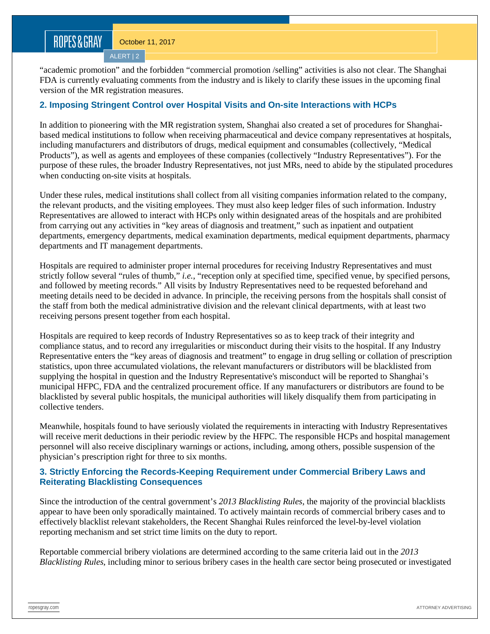ALERT | 2

"academic promotion" and the forbidden "commercial promotion /selling" activities is also not clear. The Shanghai FDA is currently evaluating comments from the industry and is likely to clarify these issues in the upcoming final version of the MR registration measures.

#### **2. Imposing Stringent Control over Hospital Visits and On-site Interactions with HCPs**

In addition to pioneering with the MR registration system, Shanghai also created a set of procedures for Shanghaibased medical institutions to follow when receiving pharmaceutical and device company representatives at hospitals, including manufacturers and distributors of drugs, medical equipment and consumables (collectively, "Medical Products"), as well as agents and employees of these companies (collectively "Industry Representatives"). For the purpose of these rules, the broader Industry Representatives, not just MRs, need to abide by the stipulated procedures when conducting on-site visits at hospitals.

Under these rules, medical institutions shall collect from all visiting companies information related to the company, the relevant products, and the visiting employees. They must also keep ledger files of such information. Industry Representatives are allowed to interact with HCPs only within designated areas of the hospitals and are prohibited from carrying out any activities in "key areas of diagnosis and treatment," such as inpatient and outpatient departments, emergency departments, medical examination departments, medical equipment departments, pharmacy departments and IT management departments.

Hospitals are required to administer proper internal procedures for receiving Industry Representatives and must strictly follow several "rules of thumb," *i.e.*, "reception only at specified time, specified venue, by specified persons, and followed by meeting records." All visits by Industry Representatives need to be requested beforehand and meeting details need to be decided in advance. In principle, the receiving persons from the hospitals shall consist of the staff from both the medical administrative division and the relevant clinical departments, with at least two receiving persons present together from each hospital.

Hospitals are required to keep records of Industry Representatives so as to keep track of their integrity and compliance status, and to record any irregularities or misconduct during their visits to the hospital. If any Industry Representative enters the "key areas of diagnosis and treatment" to engage in drug selling or collation of prescription statistics, upon three accumulated violations, the relevant manufacturers or distributors will be blacklisted from supplying the hospital in question and the Industry Representative's misconduct will be reported to Shanghai's municipal HFPC, FDA and the centralized procurement office. If any manufacturers or distributors are found to be blacklisted by several public hospitals, the municipal authorities will likely disqualify them from participating in collective tenders.

Meanwhile, hospitals found to have seriously violated the requirements in interacting with Industry Representatives will receive merit deductions in their periodic review by the HFPC. The responsible HCPs and hospital management personnel will also receive disciplinary warnings or actions, including, among others, possible suspension of the physician's prescription right for three to six months.

#### **3. Strictly Enforcing the Records-Keeping Requirement under Commercial Bribery Laws and Reiterating Blacklisting Consequences**

Since the introduction of the central government's *2013 Blacklisting Rules*, the majority of the provincial blacklists appear to have been only sporadically maintained. To actively maintain records of commercial bribery cases and to effectively blacklist relevant stakeholders, the Recent Shanghai Rules reinforced the level-by-level violation reporting mechanism and set strict time limits on the duty to report.

Reportable commercial bribery violations are determined according to the same criteria laid out in the *2013 Blacklisting Rules*, including minor to serious bribery cases in the health care sector being prosecuted or investigated